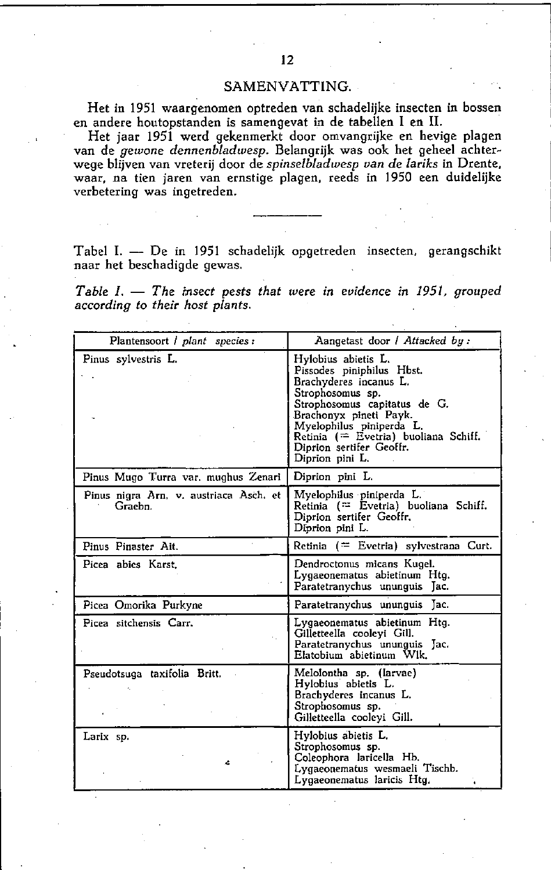## SAMENVATTING.

Het in 1951 waargenomen optreden van schadelijke insecten in bossen en andere houtopstanden is samengevat in de tabellen I en U.

Het jaar 1951 werd gekenmerkt door omvangrijke en hevige plagen van de *gewone dennenbladwesp.* Belangrijk was ook het gebeel achterwege blijven van vreterij door de *spinse/bladwesp van* de *lariks* in Drente. waar. na tien jaren van ernstige plagen. reeds in 1950 een duidelijke **verbetering was ingetreden.** 

Tabel I. - De in 1951 schadelijk opgetreden insecten, gerangschikt naar het beschadigde gewas.

*Table I.* - *The insect pests that were in* evidence *in* 1951. *grouped according* 10 *their hosl plants.* 

| Plantensoort / plant species :                    | Aangetast door / Attacked by:                                                                                                                                                                                                                                               |  |  |  |  |  |  |
|---------------------------------------------------|-----------------------------------------------------------------------------------------------------------------------------------------------------------------------------------------------------------------------------------------------------------------------------|--|--|--|--|--|--|
| Pinus sylvestris L.                               | Hylobius abietis L.<br>Pissodes piniphilus Hbst.<br>Brachyderes incanus L.<br>Strophosomus sp.<br>Strophosomus capitatus de G.<br>Brachonyx pineti Payk.<br>Myelophilus piniperda L.<br>Retinia (= Evetria) buoliana Schiff.<br>Diprion sertifer Geoffr.<br>Diprion pini L. |  |  |  |  |  |  |
| Pinus Mugo Turra var. mughus Zenari               | Diprion pini L.                                                                                                                                                                                                                                                             |  |  |  |  |  |  |
| Pinus nigra Arn, v. austriaca Asch. et<br>Graebn. | Myelophilus piniperda L.<br>Retinia (= Evetria) buoliana Schiff.<br>Diprion sertifer Geoffr.<br>Diprion pini L.                                                                                                                                                             |  |  |  |  |  |  |
| Pinus Pinaster Ait.                               | Retinia (= Evetria) sylvestrana Curt.                                                                                                                                                                                                                                       |  |  |  |  |  |  |
| Picea abies Karst                                 | Dendroctonus micans Kugel.<br>Lygaeonematus abietinum Htg.<br>Paratetranychus ununguis Jac.                                                                                                                                                                                 |  |  |  |  |  |  |
| Picea Omorika Purkyne                             | Paratetranychus ununguis Jac.                                                                                                                                                                                                                                               |  |  |  |  |  |  |
| Picea sitchensis Carr.                            | Lygaeonematus abietinum Htg.<br>Gilletteella cooleyi Gill.<br>Paratetranychus ununguis Jac.<br>Elatobium abietinum Wlk.                                                                                                                                                     |  |  |  |  |  |  |
| Pseudotsuga taxifolia Britt.                      | Melolontha sp. (larvae)<br>Hylobius abietis L.<br>Brachyderes incanus L.<br>Strophosomus sp.<br>Gilletteella cooleyi Gill.                                                                                                                                                  |  |  |  |  |  |  |
| Larix sp.<br>Ŀ,                                   | Hylobius abietis L.<br>Strophosomus sp.<br>Coleophora laricella Hb.<br>Lygaeonematus wesmaeli Tischb.<br>Lygaeonematus laricis Htg.                                                                                                                                         |  |  |  |  |  |  |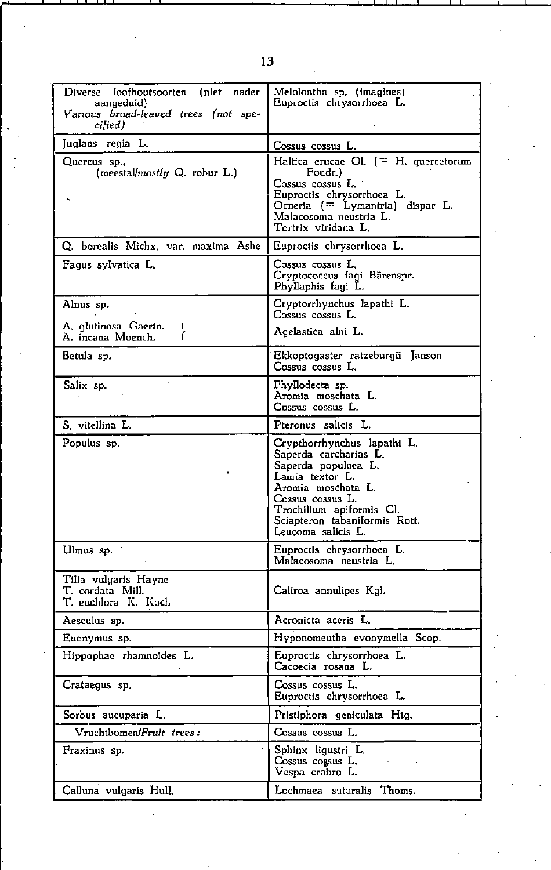| Diverse<br>loofhoutsoorten<br>nader<br>(niet<br>aangeduid)<br>Various broad-leaved trees (not spe-<br>cilied) | Melolontha sp. (imagines)<br>Euproctis chrysorrhoea L.                                                                                                                                                                      |  |  |  |  |  |
|---------------------------------------------------------------------------------------------------------------|-----------------------------------------------------------------------------------------------------------------------------------------------------------------------------------------------------------------------------|--|--|--|--|--|
| Juglans regia L.                                                                                              | Cossus cossus L.                                                                                                                                                                                                            |  |  |  |  |  |
| Quercus sp.,<br>(meestal/mostly $Q$ . robur $L$ .)                                                            | Haltica erucae Ol. $($ $=$ H. quercetorum<br>Foudr.)<br>Cossus cossus L.<br>Euproctis chrysorrhoea L.<br>Ocneria (= Lymantria) dispar L.<br>Malacosoma neustria L.<br>Tortrix viridana L.                                   |  |  |  |  |  |
| O. borealis Michx. var. maxima Ashe                                                                           | Euproctis chrysorrhoea L.                                                                                                                                                                                                   |  |  |  |  |  |
| Fagus sylvatica L.                                                                                            | Cossus cossus L.<br>Cryptococcus fagi Bärenspr.<br>Phyllaphis fagi L.                                                                                                                                                       |  |  |  |  |  |
| Alnus sp.                                                                                                     | Cryptorrhynchus lapathi L.<br>Cossus cossus L.                                                                                                                                                                              |  |  |  |  |  |
| A. glutinosa Gaertn.<br>A. incana Moench.                                                                     | Agelastica alni L.                                                                                                                                                                                                          |  |  |  |  |  |
| Betula sp.                                                                                                    | Ekkoptogaster ratzeburgii Janson<br>Cossus cossus L.                                                                                                                                                                        |  |  |  |  |  |
| Salix sp.                                                                                                     | Phyllodecta sp.<br>Aromia moschata L.<br>Cossus cossus L.                                                                                                                                                                   |  |  |  |  |  |
| S. vitellina L.                                                                                               | Pteronus salicis L.                                                                                                                                                                                                         |  |  |  |  |  |
| Populus sp.                                                                                                   | Crypthorrhynchus lapathi L.<br>Saperda carcharias L.<br>Saperda populnea L.<br>Lamia textor L.<br>Aromia moschata L.<br>Cossus cossus L.<br>Trochilium apiformis Cl.<br>Sciapteron tabaniformis Rott.<br>Leucoma salicis L. |  |  |  |  |  |
| Ulmus sp.                                                                                                     | Euproctis chrysorrhoea L.<br>Malacosoma neustria L.                                                                                                                                                                         |  |  |  |  |  |
| Tilia vulgaris Hayne<br>T. cordata Mill.<br>T. euchlora K. Koch                                               | Caliroa annulipes Kgl.                                                                                                                                                                                                      |  |  |  |  |  |
| Aesculus sp.                                                                                                  | Acronicta aceris L.                                                                                                                                                                                                         |  |  |  |  |  |
| Euonymus sp.                                                                                                  | Hyponomeutha evonymella Scop.                                                                                                                                                                                               |  |  |  |  |  |
| Hippophae rhamnoides L.                                                                                       | Euproctis chrysorrhoea L.<br>Cacoecia rosana L.                                                                                                                                                                             |  |  |  |  |  |
| Crataegus sp.                                                                                                 | Cossus cossus L.<br>Euproctis chrysorrhoea L.                                                                                                                                                                               |  |  |  |  |  |
| Sorbus aucuparia L.                                                                                           | Pristiphora geniculata Htg.                                                                                                                                                                                                 |  |  |  |  |  |
| Vruchtbomen/Fruit trees:                                                                                      | Cossus cossus L.                                                                                                                                                                                                            |  |  |  |  |  |
| Fraxinus sp.                                                                                                  | Sphinx ligustri L.<br>Cossus cossus L.<br>Vespa crabro L.                                                                                                                                                                   |  |  |  |  |  |
| Calluna vulgaris Hull.                                                                                        | Lochmaea suturalis Thoms.                                                                                                                                                                                                   |  |  |  |  |  |

13